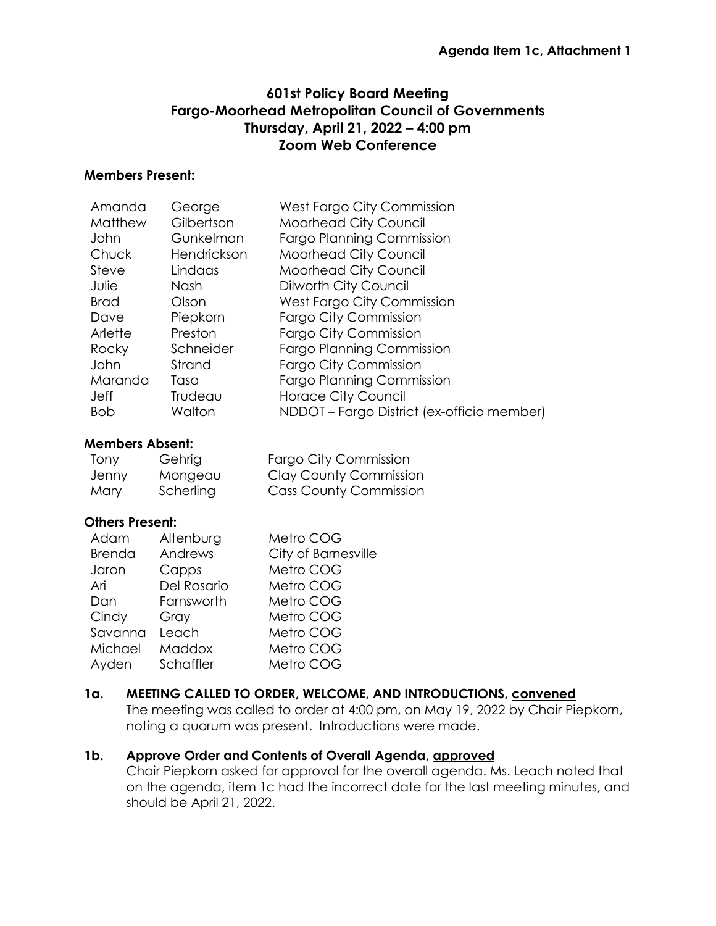# **601st Policy Board Meeting Fargo-Moorhead Metropolitan Council of Governments Thursday, April 21, 2022 – 4:00 pm Zoom Web Conference**

#### **Members Present:**

| Amanda      | George      | West Fargo City Commission                 |
|-------------|-------------|--------------------------------------------|
| Matthew     | Gilbertson  | Moorhead City Council                      |
| John        | Gunkelman   | <b>Fargo Planning Commission</b>           |
| Chuck       | Hendrickson | Moorhead City Council                      |
| Steve       | Lindaas     | Moorhead City Council                      |
| Julie       | Nash        | Dilworth City Council                      |
| <b>Brad</b> | Olson       | West Fargo City Commission                 |
| Dave        | Piepkorn    | <b>Fargo City Commission</b>               |
| Arlette     | Preston     | <b>Fargo City Commission</b>               |
| Rocky       | Schneider   | <b>Fargo Planning Commission</b>           |
| John        | Strand      | <b>Fargo City Commission</b>               |
| Maranda     | Tasa        | <b>Fargo Planning Commission</b>           |
| Jeff        | Trudeau     | <b>Horace City Council</b>                 |
| <b>Bob</b>  | Walton      | NDDOT - Fargo District (ex-officio member) |
|             |             |                                            |

#### **Members Absent:**

| Tony  | Gehrig    | <b>Fargo City Commission</b>  |
|-------|-----------|-------------------------------|
| Jenny | Mongeau   | <b>Clay County Commission</b> |
| Mary  | Scherling | <b>Cass County Commission</b> |

### **Others Present:**

| Adam          | Altenburg     | Metro COG           |
|---------------|---------------|---------------------|
| <b>Brenda</b> | Andrews       | City of Barnesville |
| Jaron         | Capps         | Metro COG           |
| Ari           | Del Rosario   | Metro COG           |
| Dan           | Farnsworth    | Metro COG           |
| Cindy         | Gray          | Metro COG           |
| Savanna       | Leach         | Metro COG           |
| Michael       | <b>Maddox</b> | Metro COG           |
| Ayden         | Schaffler     | Metro COG           |

### 1a. MEETING CALLED TO ORDER, WELCOME, AND INTRODUCTIONS, convened

The meeting was called to order at 4:00 pm, on May 19, 2022 by Chair Piepkorn, noting a quorum was present. Introductions were made.

### **1b. Approve Order and Contents of Overall Agenda, approved**

Chair Piepkorn asked for approval for the overall agenda. Ms. Leach noted that on the agenda, item 1c had the incorrect date for the last meeting minutes, and should be April 21, 2022.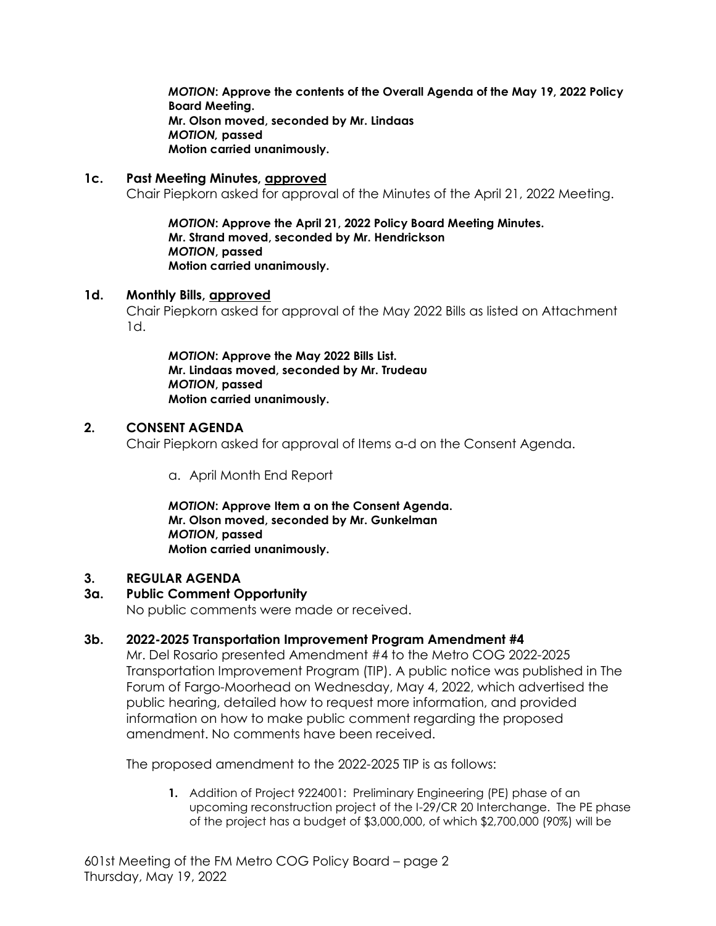*MOTION***: Approve the contents of the Overall Agenda of the May 19, 2022 Policy Board Meeting. Mr. Olson moved, seconded by Mr. Lindaas** *MOTION,* **passed Motion carried unanimously.**

### **1c. Past Meeting Minutes, approved**

Chair Piepkorn asked for approval of the Minutes of the April 21, 2022 Meeting.

*MOTION***: Approve the April 21, 2022 Policy Board Meeting Minutes. Mr. Strand moved, seconded by Mr. Hendrickson** *MOTION***, passed Motion carried unanimously.**

### **1d. Monthly Bills, approved**

Chair Piepkorn asked for approval of the May 2022 Bills as listed on Attachment 1d.

*MOTION***: Approve the May 2022 Bills List. Mr. Lindaas moved, seconded by Mr. Trudeau** *MOTION***, passed Motion carried unanimously.**

### **2. CONSENT AGENDA**

Chair Piepkorn asked for approval of Items a-d on the Consent Agenda.

a. April Month End Report

*MOTION***: Approve Item a on the Consent Agenda. Mr. Olson moved, seconded by Mr. Gunkelman** *MOTION***, passed Motion carried unanimously.**

### **3. REGULAR AGENDA**

### **3a. Public Comment Opportunity**

No public comments were made or received.

### **3b. 2022-2025 Transportation Improvement Program Amendment #4**

Mr. Del Rosario presented Amendment #4 to the Metro COG 2022-2025 Transportation Improvement Program (TIP). A public notice was published in The Forum of Fargo-Moorhead on Wednesday, May 4, 2022, which advertised the public hearing, detailed how to request more information, and provided information on how to make public comment regarding the proposed amendment. No comments have been received.

The proposed amendment to the 2022-2025 TIP is as follows:

**1.** Addition of Project 9224001: Preliminary Engineering (PE) phase of an upcoming reconstruction project of the I-29/CR 20 Interchange. The PE phase of the project has a budget of \$3,000,000, of which \$2,700,000 (90%) will be

601st Meeting of the FM Metro COG Policy Board – page 2 Thursday, May 19, 2022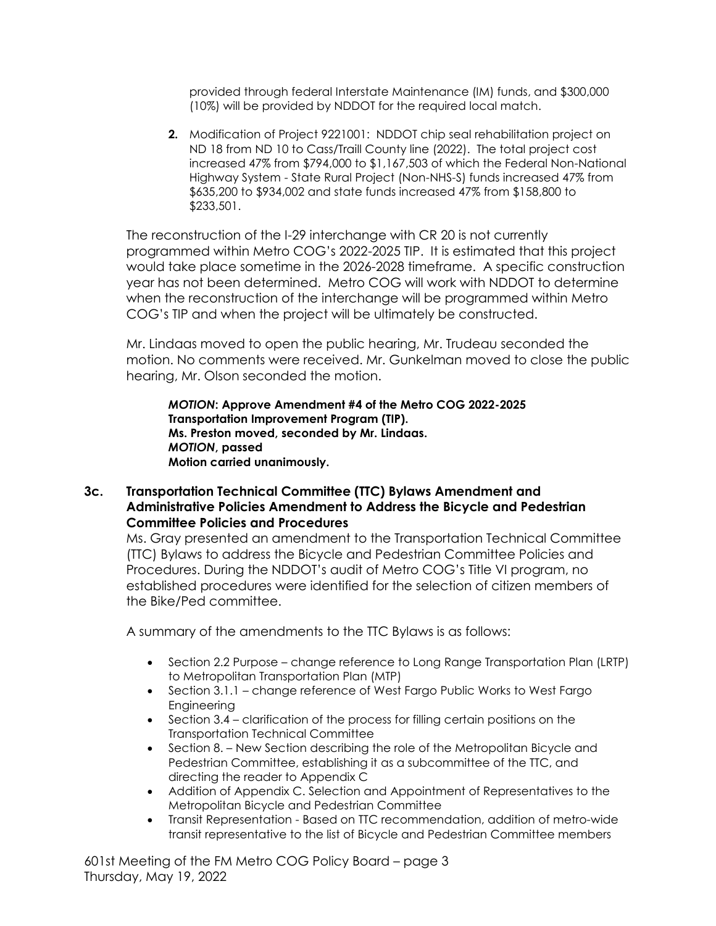provided through federal Interstate Maintenance (IM) funds, and \$300,000 (10%) will be provided by NDDOT for the required local match.

**2.** Modification of Project 9221001: NDDOT chip seal rehabilitation project on ND 18 from ND 10 to Cass/Traill County line (2022). The total project cost increased 47% from \$794,000 to \$1,167,503 of which the Federal Non-National Highway System - State Rural Project (Non-NHS-S) funds increased 47% from \$635,200 to \$934,002 and state funds increased 47% from \$158,800 to \$233,501.

The reconstruction of the I-29 interchange with CR 20 is not currently programmed within Metro COG's 2022-2025 TIP. It is estimated that this project would take place sometime in the 2026-2028 timeframe. A specific construction year has not been determined. Metro COG will work with NDDOT to determine when the reconstruction of the interchange will be programmed within Metro COG's TIP and when the project will be ultimately be constructed.

Mr. Lindaas moved to open the public hearing, Mr. Trudeau seconded the motion. No comments were received. Mr. Gunkelman moved to close the public hearing, Mr. Olson seconded the motion.

*MOTION***: Approve Amendment #4 of the Metro COG 2022-2025 Transportation Improvement Program (TIP). Ms. Preston moved, seconded by Mr. Lindaas.** *MOTION***, passed Motion carried unanimously.**

**3c. Transportation Technical Committee (TTC) Bylaws Amendment and Administrative Policies Amendment to Address the Bicycle and Pedestrian Committee Policies and Procedures**

Ms. Gray presented an amendment to the Transportation Technical Committee (TTC) Bylaws to address the Bicycle and Pedestrian Committee Policies and Procedures. During the NDDOT's audit of Metro COG's Title VI program, no established procedures were identified for the selection of citizen members of the Bike/Ped committee.

A summary of the amendments to the TTC Bylaws is as follows:

- Section 2.2 Purpose change reference to Long Range Transportation Plan (LRTP) to Metropolitan Transportation Plan (MTP)
- Section 3.1.1 change reference of West Fargo Public Works to West Fargo Engineering
- Section 3.4 clarification of the process for filling certain positions on the Transportation Technical Committee
- Section 8. New Section describing the role of the Metropolitan Bicycle and Pedestrian Committee, establishing it as a subcommittee of the TTC, and directing the reader to Appendix C
- Addition of Appendix C. Selection and Appointment of Representatives to the Metropolitan Bicycle and Pedestrian Committee
- Transit Representation Based on TTC recommendation, addition of metro-wide transit representative to the list of Bicycle and Pedestrian Committee members

601st Meeting of the FM Metro COG Policy Board – page 3 Thursday, May 19, 2022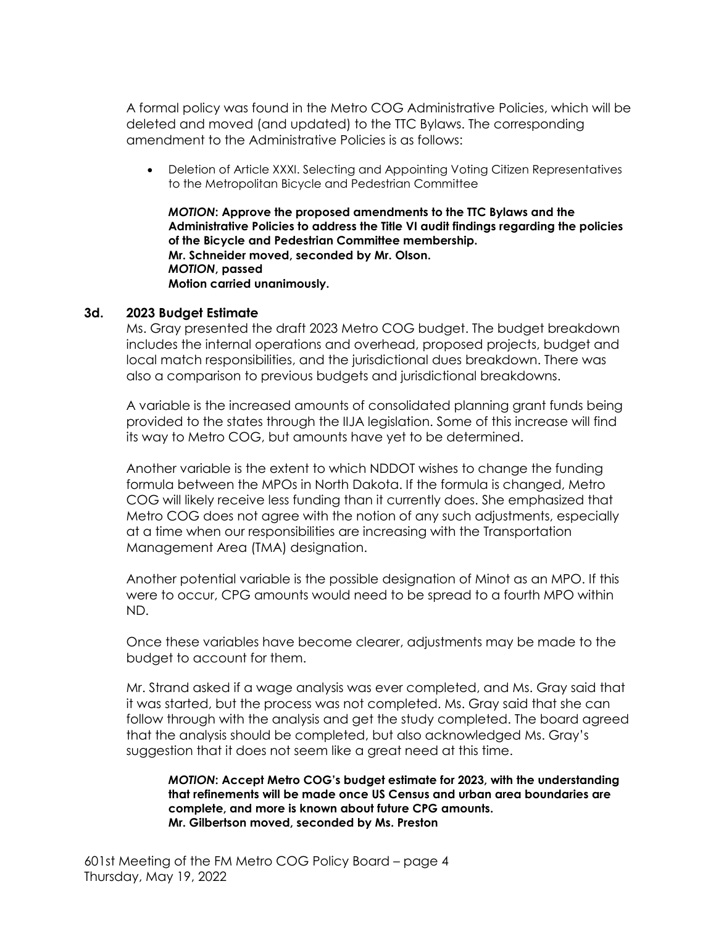A formal policy was found in the Metro COG Administrative Policies, which will be deleted and moved (and updated) to the TTC Bylaws. The corresponding amendment to the Administrative Policies is as follows:

 Deletion of Article XXXI. Selecting and Appointing Voting Citizen Representatives to the Metropolitan Bicycle and Pedestrian Committee

*MOTION***: Approve the proposed amendments to the TTC Bylaws and the Administrative Policies to address the Title VI audit findings regarding the policies of the Bicycle and Pedestrian Committee membership. Mr. Schneider moved, seconded by Mr. Olson.** *MOTION***, passed Motion carried unanimously.**

### **3d. 2023 Budget Estimate**

Ms. Gray presented the draft 2023 Metro COG budget. The budget breakdown includes the internal operations and overhead, proposed projects, budget and local match responsibilities, and the jurisdictional dues breakdown. There was also a comparison to previous budgets and jurisdictional breakdowns.

A variable is the increased amounts of consolidated planning grant funds being provided to the states through the IIJA legislation. Some of this increase will find its way to Metro COG, but amounts have yet to be determined.

Another variable is the extent to which NDDOT wishes to change the funding formula between the MPOs in North Dakota. If the formula is changed, Metro COG will likely receive less funding than it currently does. She emphasized that Metro COG does not agree with the notion of any such adjustments, especially at a time when our responsibilities are increasing with the Transportation Management Area (TMA) designation.

Another potential variable is the possible designation of Minot as an MPO. If this were to occur, CPG amounts would need to be spread to a fourth MPO within ND.

Once these variables have become clearer, adjustments may be made to the budget to account for them.

Mr. Strand asked if a wage analysis was ever completed, and Ms. Gray said that it was started, but the process was not completed. Ms. Gray said that she can follow through with the analysis and get the study completed. The board agreed that the analysis should be completed, but also acknowledged Ms. Gray's suggestion that it does not seem like a great need at this time.

#### *MOTION***: Accept Metro COG's budget estimate for 2023, with the understanding that refinements will be made once US Census and urban area boundaries are complete, and more is known about future CPG amounts. Mr. Gilbertson moved, seconded by Ms. Preston**